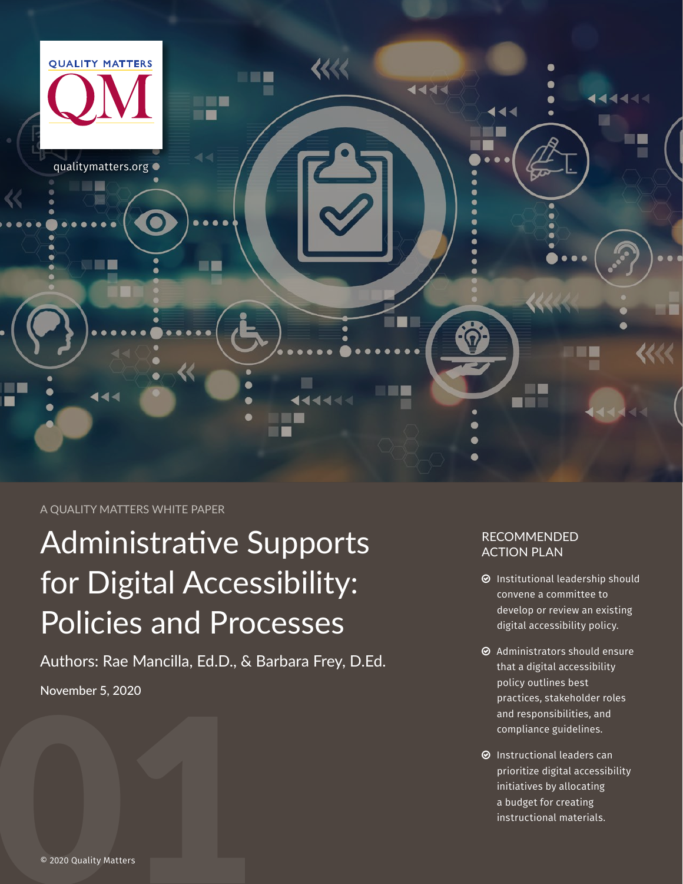

#### A QUALITY MATTERS WHITE PAPER

# Administrative Supports for Digital Accessibility: Policies and Processes

Authors: Rae Mancilla, Ed.D., & Barbara Frey, D.Ed. November 5, 2020

#### RECOMMENDED ACTION PLAN

- $\odot$  Institutional leadership should convene a committee to develop or review an existing digital accessibility policy.
- $\odot$  Administrators should ensure that a digital accessibility policy outlines best practices, stakeholder roles and responsibilities, and compliance guidelines.
- $\odot$  Instructional leaders can prioritize digital accessibility initiatives by allocating a budget for creating instructional materials.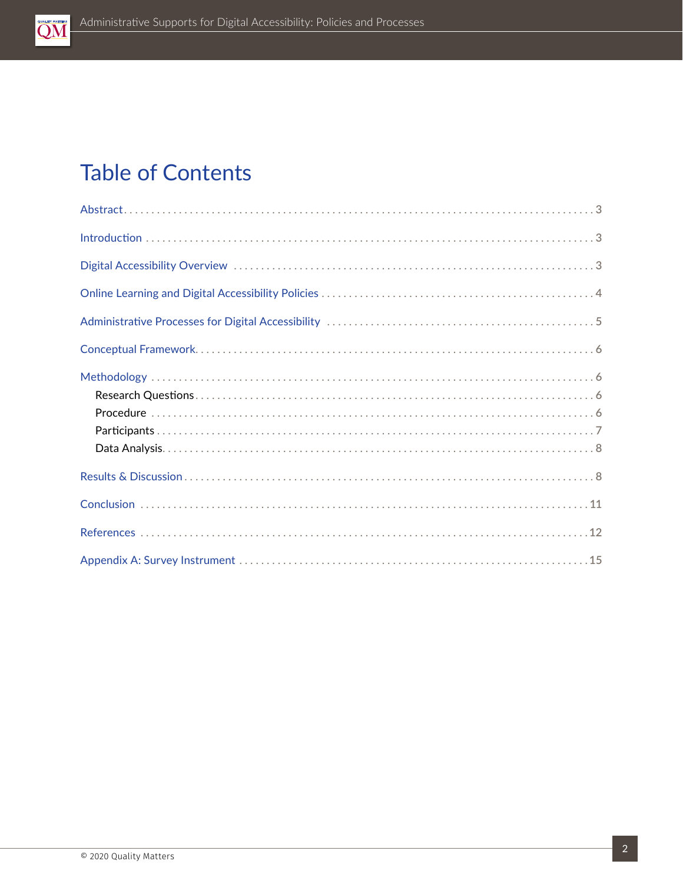

### **Table of Contents**

| $Introduction \dots 3$ |  |
|------------------------|--|
|                        |  |
|                        |  |
|                        |  |
|                        |  |
|                        |  |
|                        |  |
|                        |  |
|                        |  |
|                        |  |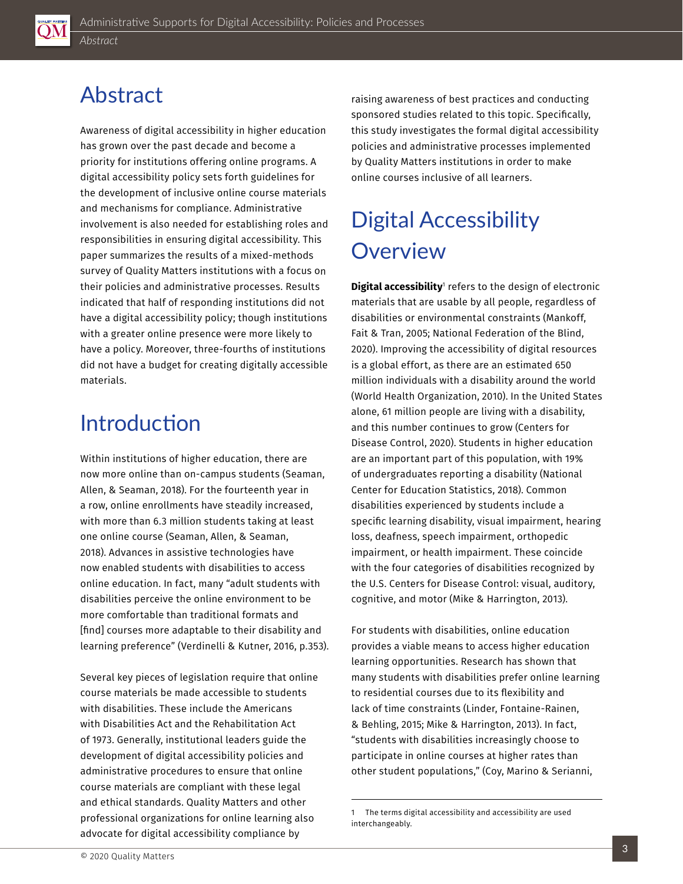<span id="page-2-0"></span>

### Abstract

Awareness of digital accessibility in higher educatio n has grown over the past decade and become a priority for institutions offering online programs. A digital accessibility policy sets forth guidelines for the development of inclusive online course material s and mechanisms for compliance. Administrative involvement is also needed for establishing roles an d responsibilities in ensuring digital accessibility. This paper summarizes the results of a mixed-methods survey of Quality Matters institutions with a focus o n their policies and administrative processes. Results indicated that half of responding institutions did no t have a digital accessibility policy; though institutio ns with a greater online presence were more likely to have a policy. Moreover, three-fourths of institution s did not have a budget for creating digitally accessibl e materials.

### **Introduction**

Within institutions of higher education, there are now more online than on-campus students (Seaman , Allen, & Seaman, 2018). For the fourteenth year in a row, online enrollments have steadily increased, with more than 6.3 million students taking at least one online course (Seaman, Allen, & Seaman, 2018). Advances in assistive technologies have now enabled students with disabilities to access online education. In fact, many "adult students with disabilities perceive the online environment to be more comfortable than traditional formats and [find] courses more adaptable to their disability and learning preference" (Verdinelli & Kutner, 2016, p.35 3).

Several key pieces of legislation require that online course materials be made accessible to students with disabilities. These include the Americans with Disabilities Act and the Rehabilitation Act of 1973. Generally, institutional leaders guide the development of digital accessibility policies and administrative procedures to ensure that online course materials are compliant with these legal and ethical standards. Quality Matters and other professional organizations for online learning also advocate for digital accessibility compliance by

raising awareness of best practices and conducting sponsored studies related to this topic. Specifically, this study investigates the formal digital accessibility policies and administrative processes implemented by Quality Matters institutions in order to make online courses inclusive of all learners.

## Digital Accessibility **Overview**

**Digital accessibility**' refers to the design of electronic materials that are usable by all people, regardless of disabilities or environmental constraints (Mankoff, Fait & Tran, 2005; National Federation of the Blind, 2020). Improving the accessibility of digital resources is a global effort, as there are an estimated 650 million individuals with a disability around the world (World Health Organization, 2010). In the United States alone, 61 million people are living with a disability, and this number continues to grow (Centers for Disease Control, 2020). Students in higher education are an important part of this population, with 19% of undergraduates reporting a disability (National Center for Education Statistics, 2018). Common disabilities experienced by students include a specific learning disability, visual impairment, hearing loss, deafness, speech impairment, orthopedic impairment, or health impairment. These coincide with the four categories of disabilities recognized by the U.S. Centers for Disease Control: visual, auditory, cognitive, and motor (Mike & Harrington, 2013).

For students with disabilities, online education provides a viable means to access higher education learning opportunities. Research has shown that many students with disabilities prefer online learning to residential courses due to its flexibility and lack of time constraints (Linder, Fontaine-Rainen, & Behling, 2015; Mike & Harrington, 2013). In fact, "students with disabilities increasingly choose to participate in online courses at higher rates than other student populations," (Coy, Marino & Serianni,

<sup>1</sup> The terms digital accessibility and accessibility are used interchangeably.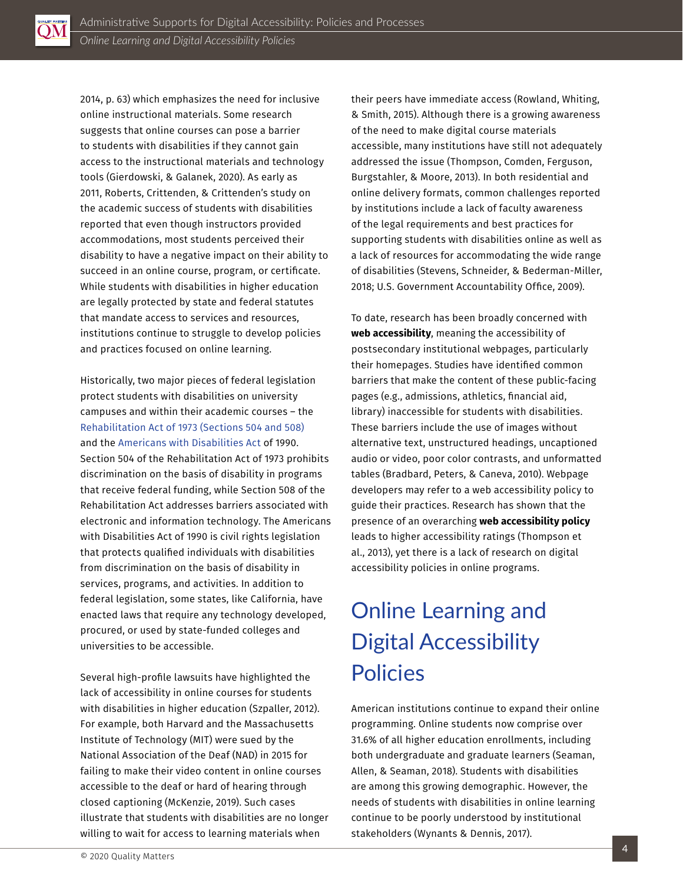<span id="page-3-0"></span>

2014, p. 63) which emphasizes the need for inclusive online instructional materials. Some research suggests that online courses can pose a barrier to students with disabilities if they cannot gain access to the instructional materials and technology tools (Gierdowski, & Galanek, 2020). As early as 2011, Roberts, Crittenden, & Crittenden's study on the academic success of students with disabilities reported that even though instructors provided accommodations, most students perceived their disability to have a negative impact on their ability to succeed in an online course, program, or certificate. While students with disabilities in higher education are legally protected by state and federal statutes that mandate access to services and resources, institutions continue to struggle to develop policies and practices focused on online learning.

Historically, two major pieces of federal legislation protect students with disabilities on university campuses and within their academic courses – the [Rehabilitation Act of 1973 \(Sections 504 and 508\)](https://www.ada.gov/cguide.htm#anchor65610) and the [Americans with Disabilities Act](https://www.ada.gov/cguide.htm#anchor62335) of 1990. Section 504 of the Rehabilitation Act of 1973 prohibits discrimination on the basis of disability in programs that receive federal funding, while Section 508 of the Rehabilitation Act addresses barriers associated with electronic and information technology. The Americans with Disabilities Act of 1990 is civil rights legislation that protects qualified individuals with disabilities from discrimination on the basis of disability in services, programs, and activities. In addition to federal legislation, some states, like California, have enacted laws that require any technology developed, procured, or used by state-funded colleges and universities to be accessible.

Several high-profile lawsuits have highlighted the lack of accessibility in online courses for students with disabilities in higher education (Szpaller, 2012). For example, both Harvard and the Massachusetts Institute of Technology (MIT) were sued by the National Association of the Deaf (NAD) in 2015 for failing to make their video content in online courses accessible to the deaf or hard of hearing through closed captioning (McKenzie, 2019). Such cases illustrate that students with disabilities are no longer willing to wait for access to learning materials when

their peers have immediate access (Rowland, Whiting, & Smith, 2015). Although there is a growing awareness of the need to make digital course materials accessible, many institutions have still not adequately addressed the issue (Thompson, Comden, Ferguson, Burgstahler, & Moore, 2013). In both residential and online delivery formats, common challenges reported by institutions include a lack of faculty awareness of the legal requirements and best practices for supporting students with disabilities online as well as a lack of resources for accommodating the wide range of disabilities (Stevens, Schneider, & Bederman-Miller, 2018; U.S. Government Accountability Office, 2009).

To date, research has been broadly concerned with **web accessibility**, meaning the accessibility of postsecondary institutional webpages, particularly their homepages. Studies have identified common barriers that make the content of these public-facing pages (e.g., admissions, athletics, financial aid, library) inaccessible for students with disabilities. These barriers include the use of images without alternative text, unstructured headings, uncaptioned audio or video, poor color contrasts, and unformatted tables (Bradbard, Peters, & Caneva, 2010). Webpage developers may refer to a web accessibility policy to guide their practices. Research has shown that the presence of an overarching **web accessibility policy** leads to higher accessibility ratings (Thompson et al., 2013), yet there is a lack of research on digital accessibility policies in online programs.

### Online Learning and Digital Accessibility Policies

American institutions continue to expand their online programming. Online students now comprise over 31.6% of all higher education enrollments, including both undergraduate and graduate learners (Seaman, Allen, & Seaman, 2018). Students with disabilities are among this growing demographic. However, the needs of students with disabilities in online learning continue to be poorly understood by institutional stakeholders (Wynants & Dennis, 2017).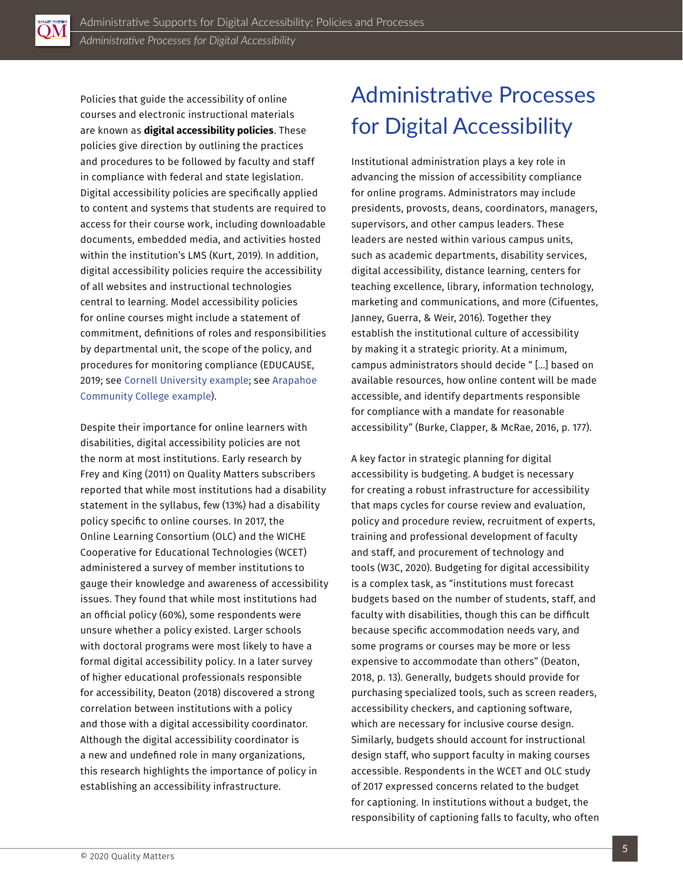<span id="page-4-0"></span>

Policies that guide the accessibility of online courses and electronic instructional materials are known as **digital accessibility policies**. These policies give direction by outlining the practices and procedures to be followed by faculty and staff in compliance with federal and state legislation. Digital accessibility policies are specifically applied to content and systems that students are required to access for their course work, including downloadable documents, embedded media, and activities hosted within the institution's LMS (Kurt, 2019). In addition, digital accessibility policies require the accessibility of all websites and instructional technologies central to learning. Model accessibility policies for online courses might include a statement of commitment, definitions of roles and responsibilities by departmental unit, the scope of the policy, and procedures for monitoring compliance (EDUCAUSE, 2019; see [Cornell University example](http://ncdae.org/resources/tips/cornell.php); see [Arapahoe](https://www.arapahoe.edu/about-acc/college-business-services/policies-procedures/ap-3-125g-web-it-accessibility-plan)  [Community College example](https://www.arapahoe.edu/about-acc/college-business-services/policies-procedures/ap-3-125g-web-it-accessibility-plan)).

Despite their importance for online learners with disabilities, digital accessibility policies are not the norm at most institutions. Early research by Frey and King (2011) on Quality Matters subscribers reported that while most institutions had a disability statement in the syllabus, few (13%) had a disability policy specific to online courses. In 2017, the Online Learning Consortium (OLC) and the WICHE Cooperative for Educational Technologies (WCET) administered a survey of member institutions to gauge their knowledge and awareness of accessibility issues. They found that while most institutions had an official policy (60%), some respondents were unsure whether a policy existed. Larger schools with doctoral programs were most likely to have a formal digital accessibility policy. In a later survey of higher educational professionals responsible for accessibility, Deaton (2018) discovered a strong correlation between institutions with a policy and those with a digital accessibility coordinator. Although the digital accessibility coordinator is a new and undefined role in many organizations, this research highlights the importance of policy in establishing an accessibility infrastructure.

### Administrative Processes for Digital Accessibility

Institutional administration plays a key role in advancing the mission of accessibility compliance for online programs. Administrators may include presidents, provosts, deans, coordinators, managers, supervisors, and other campus leaders. These leaders are nested within various campus units, such as academic departments, disability services, digital accessibility, distance learning, centers for teaching excellence, library, information technology, marketing and communications, and more (Cifuentes, Janney, Guerra, & Weir, 2016). Together they establish the institutional culture of accessibility by making it a strategic priority. At a minimum, campus administrators should decide " […] based on available resources, how online content will be made accessible, and identify departments responsible for compliance with a mandate for reasonable accessibility" (Burke, Clapper, & McRae, 2016, p. 177).

A key factor in strategic planning for digital accessibility is budgeting. A budget is necessary for creating a robust infrastructure for accessibility that maps cycles for course review and evaluation, policy and procedure review, recruitment of experts, training and professional development of faculty and staff, and procurement of technology and tools (W3C, 2020). Budgeting for digital accessibility is a complex task, as "institutions must forecast budgets based on the number of students, staff, and faculty with disabilities, though this can be difficult because specific accommodation needs vary, and some programs or courses may be more or less expensive to accommodate than others" (Deaton, 2018, p. 13). Generally, budgets should provide for purchasing specialized tools, such as screen readers, accessibility checkers, and captioning software, which are necessary for inclusive course design. Similarly, budgets should account for instructional design staff, who support faculty in making courses accessible. Respondents in the WCET and OLC study of 2017 expressed concerns related to the budget for captioning. In institutions without a budget, the responsibility of captioning falls to faculty, who often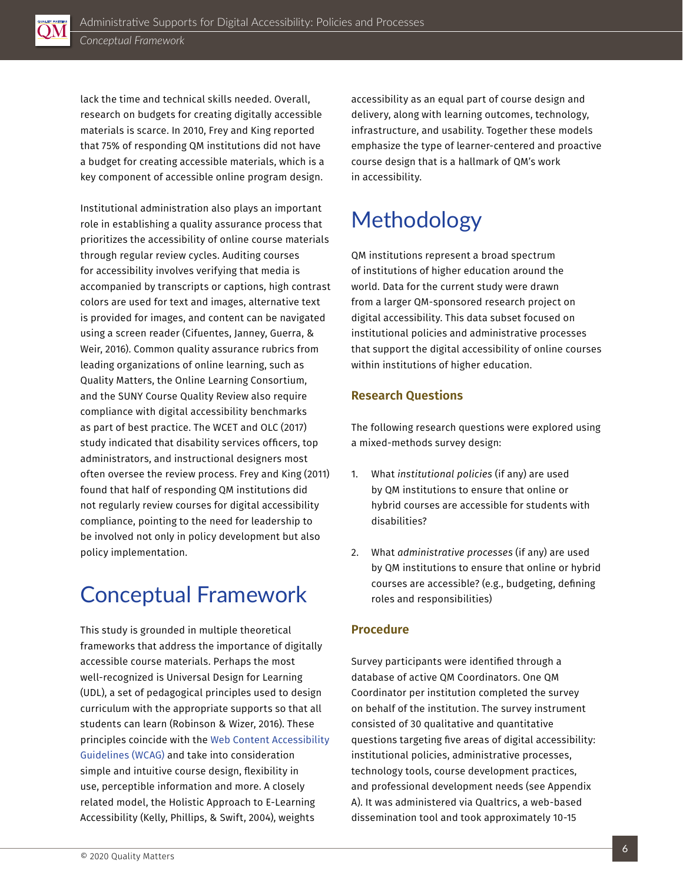<span id="page-5-0"></span>

lack the time and technical skills needed. Overall, research on budgets for creating digitally accessible materials is scarce. In 2010, Frey and King reported that 75% of responding QM institutions did not have a budget for creating accessible materials, which is a key component of accessible online program design.

Institutional administration also plays an important role in establishing a quality assurance process that prioritizes the accessibility of online course materials through regular review cycles. Auditing courses for accessibility involves verifying that media is accompanied by transcripts or captions, high contrast colors are used for text and images, alternative text is provided for images, and content can be navigated using a screen reader (Cifuentes, Janney, Guerra, & Weir, 2016). Common quality assurance rubrics from leading organizations of online learning, such as Quality Matters, the Online Learning Consortium, and the SUNY Course Quality Review also require compliance with digital accessibility benchmarks as part of best practice. The WCET and OLC (2017) study indicated that disability services officers, top administrators, and instructional designers most often oversee the review process. Frey and King (2011) found that half of responding QM institutions did not regularly review courses for digital accessibility compliance, pointing to the need for leadership to be involved not only in policy development but also policy implementation.

### Conceptual Framework

This study is grounded in multiple theoretical frameworks that address the importance of digitally accessible course materials. Perhaps the most well-recognized is Universal Design for Learning (UDL), a set of pedagogical principles used to design curriculum with the appropriate supports so that all students can learn (Robinson & Wizer, 2016). These principles coincide with the [Web Content Accessibility](https://www.w3.org/WAI/standards-guidelines/wcag/)  [Guidelines \(WCAG\)](https://www.w3.org/WAI/standards-guidelines/wcag/) and take into consideration simple and intuitive course design, flexibility in use, perceptible information and more. A closely related model, the Holistic Approach to E-Learning Accessibility (Kelly, Phillips, & Swift, 2004), weights

accessibility as an equal part of course design and delivery, along with learning outcomes, technology, infrastructure, and usability. Together these models emphasize the type of learner-centered and proactive course design that is a hallmark of QM's work in accessibility.

### Methodology

QM institutions represent a broad spectrum of institutions of higher education around the world. Data for the current study were drawn from a larger QM-sponsored research project on digital accessibility. This data subset focused on institutional policies and administrative processes that support the digital accessibility of online courses within institutions of higher education.

#### **Research Questions**

The following research questions were explored using a mixed-methods survey design:

- 1. What *institutional policies* (if any) are used by QM institutions to ensure that online or hybrid courses are accessible for students with disabilities?
- 2. What *administrative processes* (if any) are used by QM institutions to ensure that online or hybrid courses are accessible? (e.g., budgeting, defining roles and responsibilities)

#### **Procedure**

Survey participants were identified through a database of active QM Coordinators. One QM Coordinator per institution completed the survey on behalf of the institution. The survey instrument consisted of 30 qualitative and quantitative questions targeting five areas of digital accessibility: institutional policies, administrative processes, technology tools, course development practices, and professional development needs (see Appendix A). It was administered via Qualtrics, a web-based dissemination tool and took approximately 10-15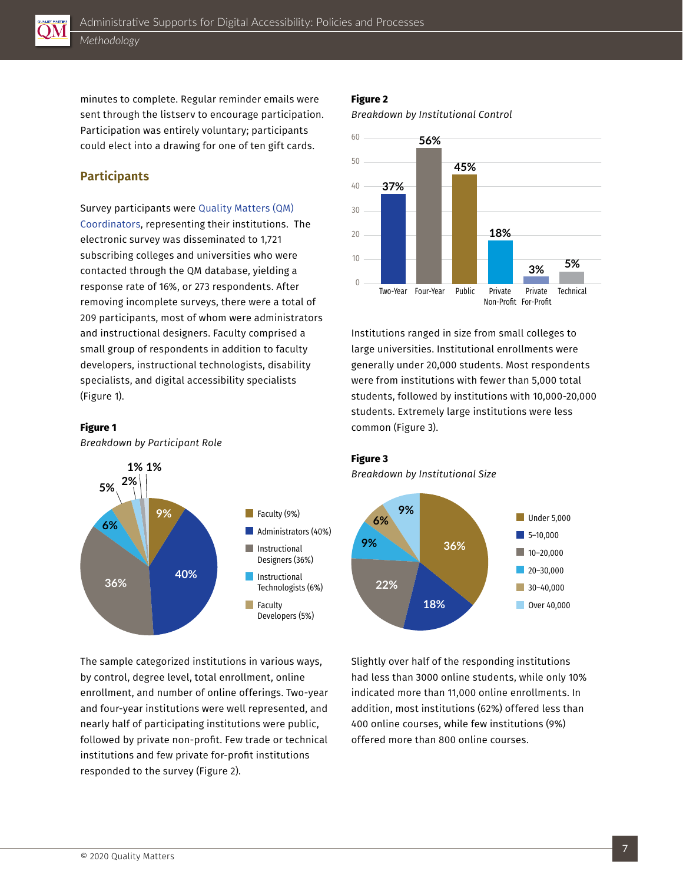<span id="page-6-0"></span>

minutes to complete. Regular reminder emails were sent through the listserv to encourage participation. Participation was entirely voluntary; participants could elect into a drawing for one of ten gift cards.

#### **Participants**

Survey participants were [Quality Matters \(QM\)](https://www.qualitymatters.org/glossary-of-qm-terms)  [Coordinators](https://www.qualitymatters.org/glossary-of-qm-terms), representing their institutions. The electronic survey was disseminated to 1,721 subscribing colleges and universities who were contacted through the QM database, yielding a response rate of 16%, or 273 respondents. After removing incomplete surveys, there were a total of 209 participants, most of whom were administrators and instructional designers. Faculty comprised a small group of respondents in addition to faculty developers, instructional technologists, disability specialists, and digital accessibility specialists (Figure 1).

#### **Figure 1**

*Breakdown by Participant Role*



The sample categorized institutions in various ways, by control, degree level, total enrollment, online enrollment, and number of online offerings. Two-year and four-year institutions were well represented, and nearly half of participating institutions were public, followed by private non-profit. Few trade or technical institutions and few private for-profit institutions responded to the survey (Figure 2).

#### **Figure 2**

*Breakdown by Institutional Control*



Institutions ranged in size from small colleges to large universities. Institutional enrollments were generally under 20,000 students. Most respondents were from institutions with fewer than 5,000 total students, followed by institutions with 10,000-20,000 students. Extremely large institutions were less common (Figure 3).

#### **Figure 3**

*Breakdown by Institutional Size*



Slightly over half of the responding institutions had less than 3000 online students, while only 10% indicated more than 11,000 online enrollments. In addition, most institutions (62%) offered less than 400 online courses, while few institutions (9%) offered more than 800 online courses.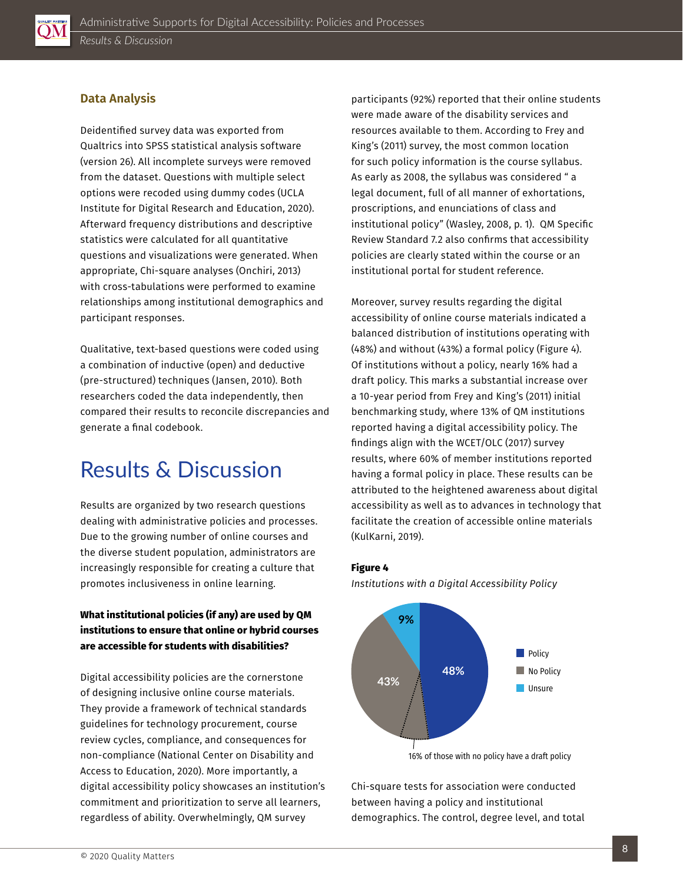<span id="page-7-0"></span>

#### **Data Analysis**

Deidentified survey data was exported from Qualtrics into SPSS statistical analysis software (version 26). All incomplete surveys were removed from the dataset. Questions with multiple select options were recoded using dummy codes (UCLA Institute for Digital Research and Education, 2020). Afterward frequency distributions and descriptive statistics were calculated for all quantitative questions and visualizations were generated. When appropriate, Chi-square analyses (Onchiri, 2013) with cross-tabulations were performed to examine relationships among institutional demographics and participant responses.

Qualitative, text-based questions were coded using a combination of inductive (open) and deductive (pre-structured) techniques (Jansen, 2010). Both researchers coded the data independently, then compared their results to reconcile discrepancies and generate a final codebook.

### Results & Discussion

Results are organized by two research questions dealing with administrative policies and processes. Due to the growing number of online courses and the diverse student population, administrators are increasingly responsible for creating a culture that promotes inclusiveness in online learning.

#### **What institutional policies (if any) are used by QM institutions to ensure that online or hybrid courses are accessible for students with disabilities?**

Digital accessibility policies are the cornerstone of designing inclusive online course materials. They provide a framework of technical standards guidelines for technology procurement, course review cycles, compliance, and consequences for non-compliance (National Center on Disability and Access to Education, 2020). More importantly, a digital accessibility policy showcases an institution's commitment and prioritization to serve all learners, regardless of ability. Overwhelmingly, QM survey

participants (92%) reported that their online students were made aware of the disability services and resources available to them. According to Frey and King's (2011) survey, the most common location for such policy information is the course syllabus. As early as 2008, the syllabus was considered " a legal document, full of all manner of exhortations, proscriptions, and enunciations of class and institutional policy" (Wasley, 2008, p. 1). QM Specific Review Standard 7.2 also confirms that accessibility policies are clearly stated within the course or an institutional portal for student reference.

Moreover, survey results regarding the digital accessibility of online course materials indicated a balanced distribution of institutions operating with (48%) and without (43%) a formal policy (Figure 4). Of institutions without a policy, nearly 16% had a draft policy. This marks a substantial increase over a 10-year period from Frey and King's (2011) initial benchmarking study, where 13% of QM institutions reported having a digital accessibility policy. The findings align with the WCET/OLC (2017) survey results, where 60% of member institutions reported having a formal policy in place. These results can be attributed to the heightened awareness about digital accessibility as well as to advances in technology that facilitate the creation of accessible online materials (KulKarni, 2019).

#### **Figure 4**

*Institutions with a Digital Accessibility Policy*



Chi-square tests for association were conducted between having a policy and institutional demographics. The control, degree level, and total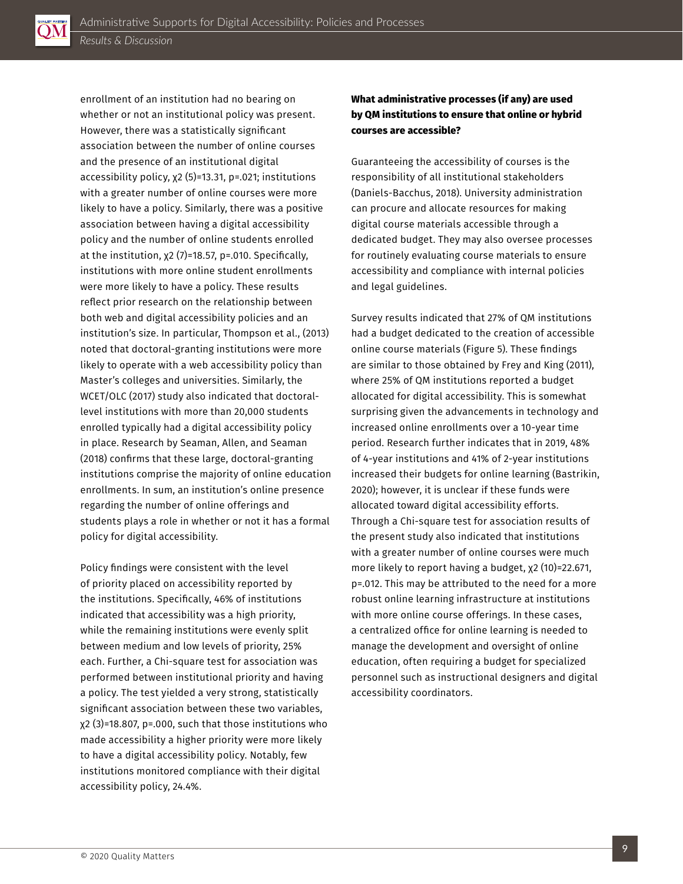

enrollment of an institution had no bearing on whether or not an institutional policy was present. However, there was a statistically significant association between the number of online courses and the presence of an institutional digital accessibility policy, χ2 (5)=13.31, p=.021; institutions with a greater number of online courses were more likely to have a policy. Similarly, there was a positive association between having a digital accessibility policy and the number of online students enrolled at the institution, χ2 (7)=18.57, p=.010. Specifically, institutions with more online student enrollments were more likely to have a policy. These results reflect prior research on the relationship between both web and digital accessibility policies and an institution's size. In particular, Thompson et al., (2013) noted that doctoral-granting institutions were more likely to operate with a web accessibility policy than Master's colleges and universities. Similarly, the WCET/OLC (2017) study also indicated that doctorallevel institutions with more than 20,000 students enrolled typically had a digital accessibility policy in place. Research by Seaman, Allen, and Seaman (2018) confirms that these large, doctoral-granting institutions comprise the majority of online education enrollments. In sum, an institution's online presence regarding the number of online offerings and students plays a role in whether or not it has a formal policy for digital accessibility.

Policy findings were consistent with the level of priority placed on accessibility reported by the institutions. Specifically, 46% of institutions indicated that accessibility was a high priority, while the remaining institutions were evenly split between medium and low levels of priority, 25% each. Further, a Chi-square test for association was performed between institutional priority and having a policy. The test yielded a very strong, statistically significant association between these two variables, χ2 (3)=18.807, p=.000, such that those institutions who made accessibility a higher priority were more likely to have a digital accessibility policy. Notably, few institutions monitored compliance with their digital accessibility policy, 24.4%.

#### **What administrative processes (if any) are used by QM institutions to ensure that online or hybrid courses are accessible?**

Guaranteeing the accessibility of courses is the responsibility of all institutional stakeholders (Daniels-Bacchus, 2018). University administration can procure and allocate resources for making digital course materials accessible through a dedicated budget. They may also oversee processes for routinely evaluating course materials to ensure accessibility and compliance with internal policies and legal guidelines.

Survey results indicated that 27% of QM institutions had a budget dedicated to the creation of accessible online course materials (Figure 5). These findings are similar to those obtained by Frey and King (2011), where 25% of QM institutions reported a budget allocated for digital accessibility. This is somewhat surprising given the advancements in technology and increased online enrollments over a 10-year time period. Research further indicates that in 2019, 48% of 4-year institutions and 41% of 2-year institutions increased their budgets for online learning (Bastrikin, 2020); however, it is unclear if these funds were allocated toward digital accessibility efforts. Through a Chi-square test for association results of the present study also indicated that institutions with a greater number of online courses were much more likely to report having a budget, χ2 (10)=22.671, p=.012. This may be attributed to the need for a more robust online learning infrastructure at institutions with more online course offerings. In these cases, a centralized office for online learning is needed to manage the development and oversight of online education, often requiring a budget for specialized personnel such as instructional designers and digital accessibility coordinators.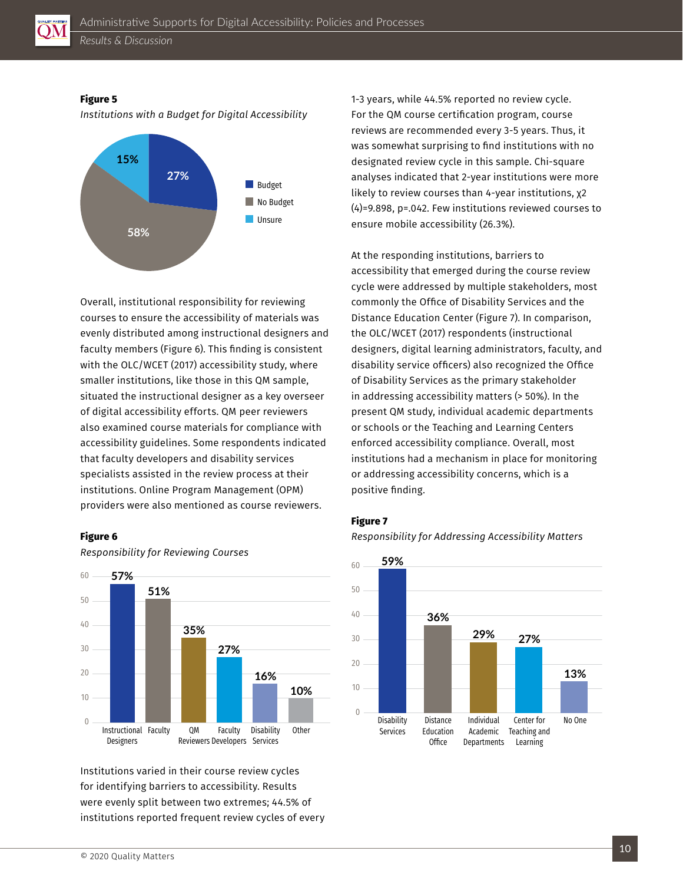

#### **Figure 5**

*Institutions with a Budget for Digital Accessibility* 



Overall, institutional responsibility for reviewing courses to ensure the accessibility of materials was evenly distributed among instructional designers and faculty members (Figure 6). This finding is consistent with the OLC/WCET (2017) accessibility study, where smaller institutions, like those in this QM sample, situated the instructional designer as a key overseer of digital accessibility efforts. QM peer reviewers also examined course materials for compliance with accessibility guidelines. Some respondents indicated that faculty developers and disability services specialists assisted in the review process at their institutions. Online Program Management (OPM) providers were also mentioned as course reviewers.

#### **Figure 6**



*Responsibility for Reviewing Courses*

Institutions varied in their course review cycles for identifying barriers to accessibility. Results were evenly split between two extremes; 44.5% of institutions reported frequent review cycles of every 1-3 years, while 44.5% reported no review cycle. For the QM course certification program, course reviews are recommended every 3-5 years. Thus, it was somewhat surprising to find institutions with no designated review cycle in this sample. Chi-square analyses indicated that 2-year institutions were more likely to review courses than 4-year institutions, χ2 (4)=9.898, p=.042. Few institutions reviewed courses to ensure mobile accessibility (26.3%).

At the responding institutions, barriers to accessibility that emerged during the course review cycle were addressed by multiple stakeholders, most commonly the Office of Disability Services and the Distance Education Center (Figure 7). In comparison, the OLC/WCET (2017) respondents (instructional designers, digital learning administrators, faculty, and disability service officers) also recognized the Office of Disability Services as the primary stakeholder in addressing accessibility matters (> 50%). In the present QM study, individual academic departments or schools or the Teaching and Learning Centers enforced accessibility compliance. Overall, most institutions had a mechanism in place for monitoring or addressing accessibility concerns, which is a positive finding.

#### **Figure 7**

*Responsibility for Addressing Accessibility Matters*



© 2020 Quality Matters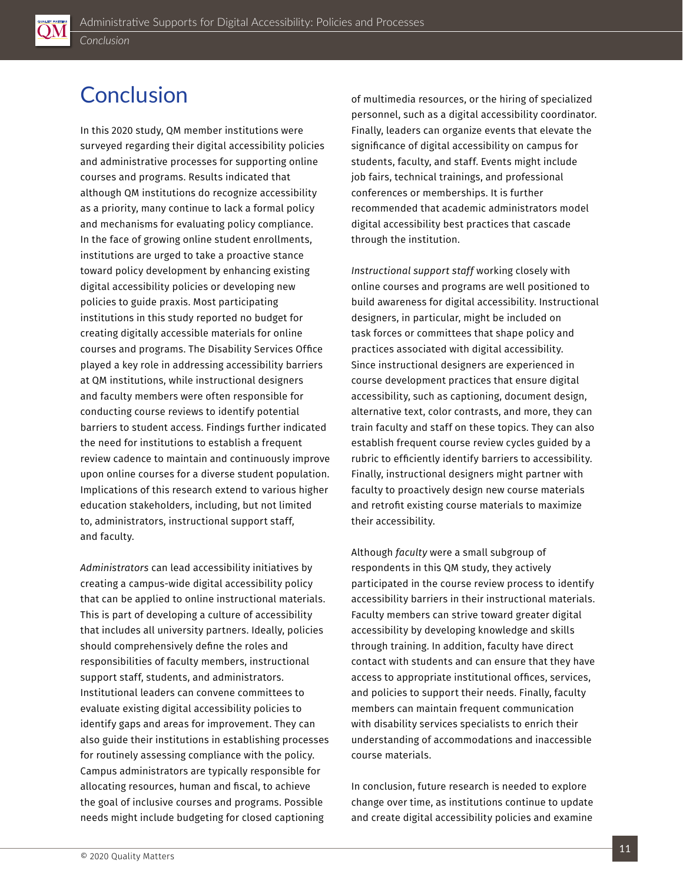### <span id="page-10-0"></span>**Conclusion**

In this 2020 study, QM member institutions were surveyed regarding their digital accessibility policies and administrative processes for supporting online courses and programs. Results indicated that although QM institutions do recognize accessibility as a priority, many continue to lack a formal policy and mechanisms for evaluating policy compliance. In the face of growing online student enrollments, institutions are urged to take a proactive stance toward policy development by enhancing existing digital accessibility policies or developing new policies to guide praxis. Most participating institutions in this study reported no budget for creating digitally accessible materials for online courses and programs. The Disability Services Office played a key role in addressing accessibility barriers at QM institutions, while instructional designers and faculty members were often responsible for conducting course reviews to identify potential barriers to student access. Findings further indicated the need for institutions to establish a frequent review cadence to maintain and continuously improve upon online courses for a diverse student population. Implications of this research extend to various higher education stakeholders, including, but not limited to, administrators, instructional support staff, and faculty.

*Administrators* can lead accessibility initiatives by creating a campus-wide digital accessibility policy that can be applied to online instructional materials. This is part of developing a culture of accessibility that includes all university partners. Ideally, policies should comprehensively define the roles and responsibilities of faculty members, instructional support staff, students, and administrators. Institutional leaders can convene committees to evaluate existing digital accessibility policies to identify gaps and areas for improvement. They can also guide their institutions in establishing processes for routinely assessing compliance with the policy. Campus administrators are typically responsible for allocating resources, human and fiscal, to achieve the goal of inclusive courses and programs. Possible needs might include budgeting for closed captioning

of multimedia resources, or the hiring of specialized personnel, such as a digital accessibility coordinator. Finally, leaders can organize events that elevate the significance of digital accessibility on campus for students, faculty, and staff. Events might include job fairs, technical trainings, and professional conferences or memberships. It is further recommended that academic administrators model digital accessibility best practices that cascade through the institution.

*Instructional support staff* working closely with online courses and programs are well positioned to build awareness for digital accessibility. Instructional designers, in particular, might be included on task forces or committees that shape policy and practices associated with digital accessibility. Since instructional designers are experienced in course development practices that ensure digital accessibility, such as captioning, document design, alternative text, color contrasts, and more, they can train faculty and staff on these topics. They can also establish frequent course review cycles guided by a rubric to efficiently identify barriers to accessibility. Finally, instructional designers might partner with faculty to proactively design new course materials and retrofit existing course materials to maximize their accessibility.

Although *faculty* were a small subgroup of respondents in this QM study, they actively participated in the course review process to identify accessibility barriers in their instructional materials. Faculty members can strive toward greater digital accessibility by developing knowledge and skills through training. In addition, faculty have direct contact with students and can ensure that they have access to appropriate institutional offices, services, and policies to support their needs. Finally, faculty members can maintain frequent communication with disability services specialists to enrich their understanding of accommodations and inaccessible course materials.

In conclusion, future research is needed to explore change over time, as institutions continue to update and create digital accessibility policies and examine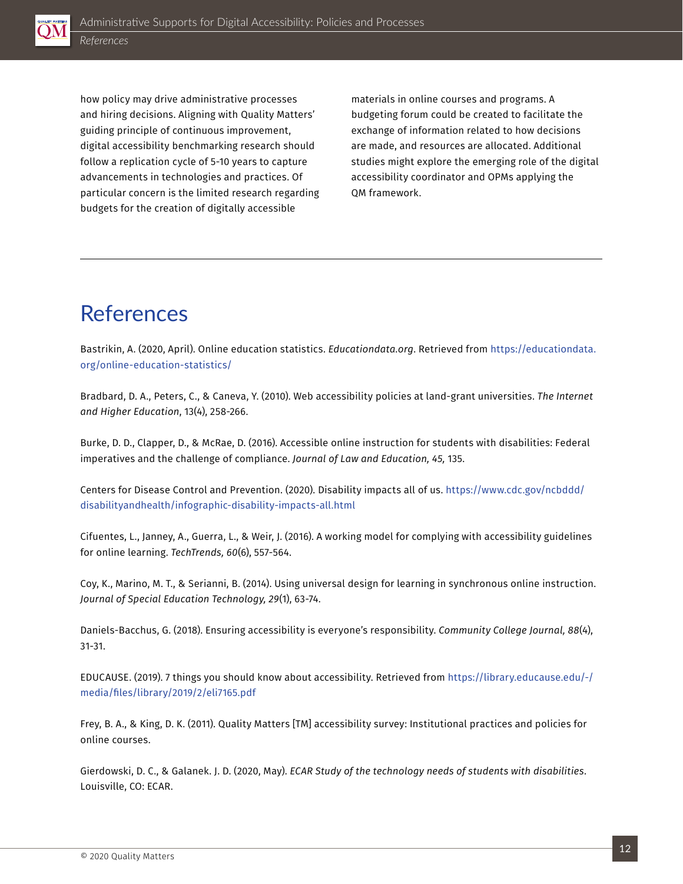<span id="page-11-0"></span>

how policy may drive administrative processes and hiring decisions. Aligning with Quality Matters' guiding principle of continuous improvement, digital accessibility benchmarking research should follow a replication cycle of 5-10 years to capture advancements in technologies and practices. Of particular concern is the limited research regarding budgets for the creation of digitally accessible

materials in online courses and programs. A budgeting forum could be created to facilitate the exchange of information related to how decisions are made, and resources are allocated. Additional studies might explore the emerging role of the digital accessibility coordinator and OPMs applying the QM framework.

### References

Bastrikin, A. (2020, April). Online education statistics. *Educationdata.org*. Retrieved from [https://educationdata.](https://educationdata.org/online-education-statistics/) [org/online-education-statistics/](https://educationdata.org/online-education-statistics/)

Bradbard, D. A., Peters, C., & Caneva, Y. (2010). Web accessibility policies at land-grant universities. *The Internet and Higher Education*, 13(4), 258-266.

Burke, D. D., Clapper, D., & McRae, D. (2016). Accessible online instruction for students with disabilities: Federal imperatives and the challenge of compliance. *Journal of Law and Education, 45,* 135.

Centers for Disease Control and Prevention. (2020). Disability impacts all of us. [https://www.cdc.gov/ncbddd/](https://www.cdc.gov/ncbddd/disabilityandhealth/infographic-disability-impacts-all.html) [disabilityandhealth/infographic-disability-impacts-all.html](https://www.cdc.gov/ncbddd/disabilityandhealth/infographic-disability-impacts-all.html)

Cifuentes, L., Janney, A., Guerra, L., & Weir, J. (2016). A working model for complying with accessibility guidelines for online learning. *TechTrends, 60*(6), 557-564.

Coy, K., Marino, M. T., & Serianni, B. (2014). Using universal design for learning in synchronous online instruction. *Journal of Special Education Technology, 29*(1), 63-74.

Daniels-Bacchus, G. (2018). Ensuring accessibility is everyone's responsibility. *Community College Journal, 88*(4), 31-31.

EDUCAUSE. (2019). 7 things you should know about accessibility. Retrieved from [https://library.educause.edu/-/](https://library.educause.edu/-/media/files/library/2019/2/eli7165.pdf) [media/files/library/2019/2/eli7165.pdf](https://library.educause.edu/-/media/files/library/2019/2/eli7165.pdf)

Frey, B. A., & King, D. K. (2011). Quality Matters [TM] accessibility survey: Institutional practices and policies for online courses.

Gierdowski, D. C., & Galanek. J. D. (2020, May). *ECAR Study of the technology needs of students with disabilities*. Louisville, CO: ECAR.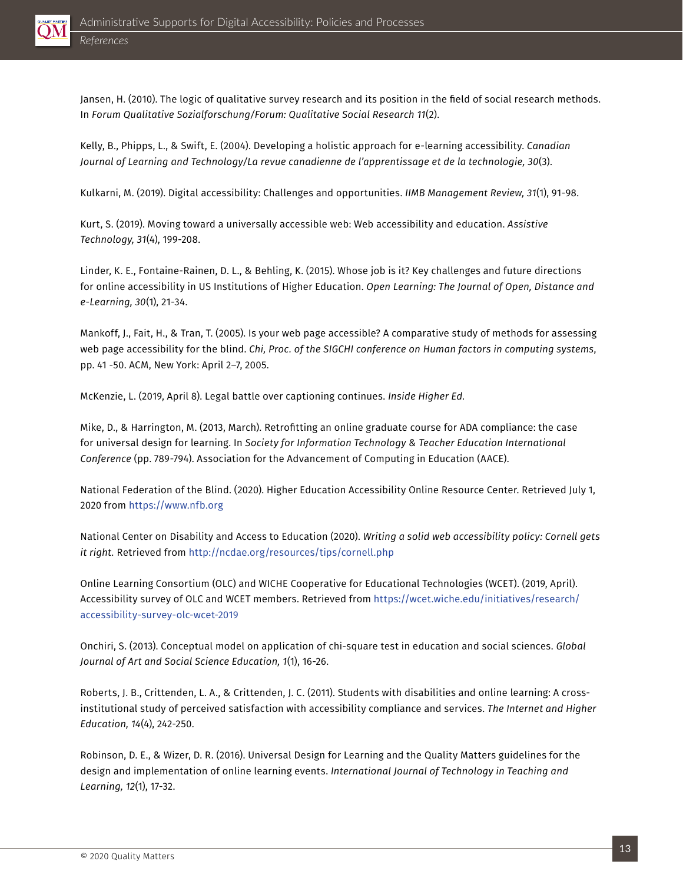

Jansen, H. (2010). The logic of qualitative survey research and its position in the field of social research methods. In *Forum Qualitative Sozialforschung/Forum: Qualitative Social Research 11*(2).

Kelly, B., Phipps, L., & Swift, E. (2004). Developing a holistic approach for e-learning accessibility. *Canadian Journal of Learning and Technology/La revue canadienne de l'apprentissage et de la technologie, 30*(3).

Kulkarni, M. (2019). Digital accessibility: Challenges and opportunities. *IIMB Management Review, 31*(1), 91-98.

Kurt, S. (2019). Moving toward a universally accessible web: Web accessibility and education. *Assistive Technology, 31*(4), 199-208.

Linder, K. E., Fontaine-Rainen, D. L., & Behling, K. (2015). Whose job is it? Key challenges and future directions for online accessibility in US Institutions of Higher Education. *Open Learning: The Journal of Open, Distance and e-Learning, 30*(1), 21-34.

Mankoff, J., Fait, H., & Tran, T. (2005). Is your web page accessible? A comparative study of methods for assessing web page accessibility for the blind. *Chi, Proc. of the SIGCHI conference on Human factors in computing systems*, pp. 41 -50. ACM, New York: April 2–7, 2005.

McKenzie, L. (2019, April 8). Legal battle over captioning continues. *Inside Higher Ed.*

Mike, D., & Harrington, M. (2013, March). Retrofitting an online graduate course for ADA compliance: the case for universal design for learning. In *Society for Information Technology & Teacher Education International Conference* (pp. 789-794). Association for the Advancement of Computing in Education (AACE).

National Federation of the Blind. (2020). Higher Education Accessibility Online Resource Center. Retrieved July 1, 2020 from <https://www.nfb.org>

National Center on Disability and Access to Education (2020). *Writing a solid web accessibility policy: Cornell gets it right.* Retrieved from<http://ncdae.org/resources/tips/cornell.php>

Online Learning Consortium (OLC) and WICHE Cooperative for Educational Technologies (WCET). (2019, April). Accessibility survey of OLC and WCET members. Retrieved from [https://wcet.wiche.edu/initiatives/research/](https://wcet.wiche.edu/initiatives/research/accessibility-survey-olc-wcet-2019) [accessibility-survey-olc-wcet-2019](https://wcet.wiche.edu/initiatives/research/accessibility-survey-olc-wcet-2019)

Onchiri, S. (2013). Conceptual model on application of chi-square test in education and social sciences. *Global Journal of Art and Social Science Education, 1*(1), 16-26.

Roberts, J. B., Crittenden, L. A., & Crittenden, J. C. (2011). Students with disabilities and online learning: A crossinstitutional study of perceived satisfaction with accessibility compliance and services. *The Internet and Higher Education, 14*(4), 242-250.

Robinson, D. E., & Wizer, D. R. (2016). Universal Design for Learning and the Quality Matters guidelines for the design and implementation of online learning events. *International Journal of Technology in Teaching and Learning, 12*(1), 17-32.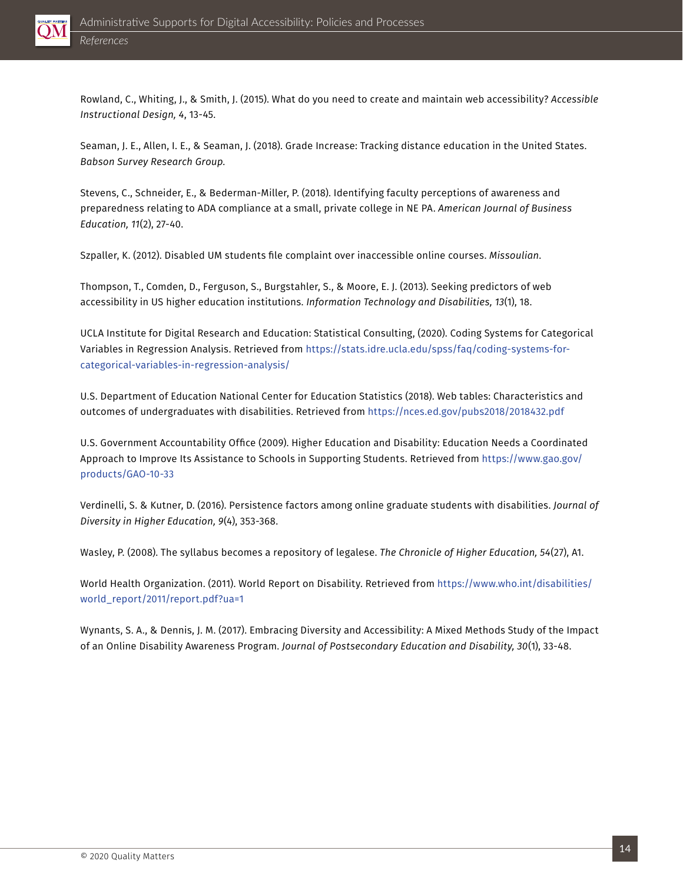

Rowland, C., Whiting, J., & Smith, J. (2015). What do you need to create and maintain web accessibility? *Accessible Instructional Design, 4*, 13-45.

Seaman, J. E., Allen, I. E., & Seaman, J. (2018). Grade Increase: Tracking distance education in the United States. *Babson Survey Research Group.*

Stevens, C., Schneider, E., & Bederman-Miller, P. (2018). Identifying faculty perceptions of awareness and preparedness relating to ADA compliance at a small, private college in NE PA. *American Journal of Business Education, 11*(2), 27-40.

Szpaller, K. (2012). Disabled UM students file complaint over inaccessible online courses. *Missoulian*.

Thompson, T., Comden, D., Ferguson, S., Burgstahler, S., & Moore, E. J. (2013). Seeking predictors of web accessibility in US higher education institutions. *Information Technology and Disabilities, 13*(1), 18.

UCLA Institute for Digital Research and Education: Statistical Consulting, (2020). Coding Systems for Categorical Variables in Regression Analysis. Retrieved from [https://stats.idre.ucla.edu/spss/faq/coding-systems-for](https://stats.idre.ucla.edu/spss/faq/coding-systems-for-categorical-variables-in-regression-analysis/)[categorical-variables-in-regression-analysis/](https://stats.idre.ucla.edu/spss/faq/coding-systems-for-categorical-variables-in-regression-analysis/)

U.S. Department of Education National Center for Education Statistics (2018). Web tables: Characteristics and outcomes of undergraduates with disabilities. Retrieved from <https://nces.ed.gov/pubs2018/2018432.pdf>

U.S. Government Accountability Office (2009). Higher Education and Disability: Education Needs a Coordinated Approach to Improve Its Assistance to Schools in Supporting Students. Retrieved from [https://www.gao.gov/](https://www.gao.gov/products/GAO-10-33) [products/GAO-10-33](https://www.gao.gov/products/GAO-10-33)

Verdinelli, S. & Kutner, D. (2016). Persistence factors among online graduate students with disabilities. *Journal of Diversity in Higher Education, 9*(4), 353-368.

Wasley, P. (2008). The syllabus becomes a repository of legalese. *The Chronicle of Higher Education, 54*(27), A1.

World Health Organization. (2011). World Report on Disability. Retrieved from [https://www.who.int/disabilities/](https://www.who.int/disabilities/world_report/2011/report.pdf?ua=1) [world\\_report/2011/report.pdf?ua=1](https://www.who.int/disabilities/world_report/2011/report.pdf?ua=1)

Wynants, S. A., & Dennis, J. M. (2017). Embracing Diversity and Accessibility: A Mixed Methods Study of the Impact of an Online Disability Awareness Program. *Journal of Postsecondary Education and Disability, 30*(1), 33-48.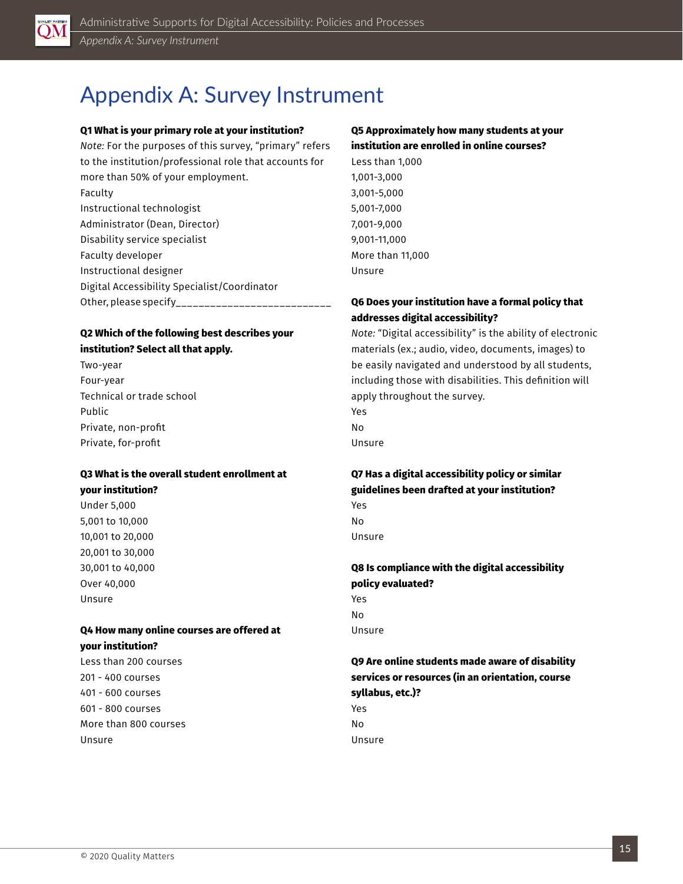<span id="page-14-0"></span>

### Appendix A: Survey Instrument

#### **Q1 What is your primary role at your institution?**

*Note:* For the purposes of this survey, "primary" refers to the institution/professional role that accounts for more than 50% of your employment. Faculty Instructional technologist Administrator (Dean, Director) Disability service specialist Faculty developer Instructional designer Digital Accessibility Specialist/Coordinator Other, please specify

#### **Q2 Which of the following best describes your institution? Select all that apply.**

Two-year Four-year Technical or trade school Public Private, non-profit Private, for-profit

#### **Q3 What is the overall student enrollment at your institution?**

Under 5,000 5,001 to 10,000 10,001 to 20,000 20,001 to 30,000 30,001 to 40,000 Over 40,000 Unsure

#### **Q4 How many online courses are offered at your institution?**

Less than 200 courses 201 - 400 courses 401 - 600 courses 601 - 800 courses More than 800 courses Unsure

#### **Q5 Approximately how many students at your institution are enrolled in online courses?**

Less than 1,000 1,001-3,000 3,001-5,000 5,001-7,000 7,001-9,000 9,001-11,000 More than 11,000 Unsure

#### **Q6 Does your institution have a formal policy that addresses digital accessibility?**

*Note:* "Digital accessibility" is the ability of electronic materials (ex.; audio, video, documents, images) to be easily navigated and understood by all students, including those with disabilities. This definition will apply throughout the survey. Yes No

Unsure

#### **Q7 Has a digital accessibility policy or similar guidelines been drafted at your institution?** Yes

No Unsure

#### **Q8 Is compliance with the digital accessibility policy evaluated?** Yes No

Unsure

### **Q9 Are online students made aware of disability services or resources (in an orientation, course syllabus, etc.)?**

Yes No

Unsure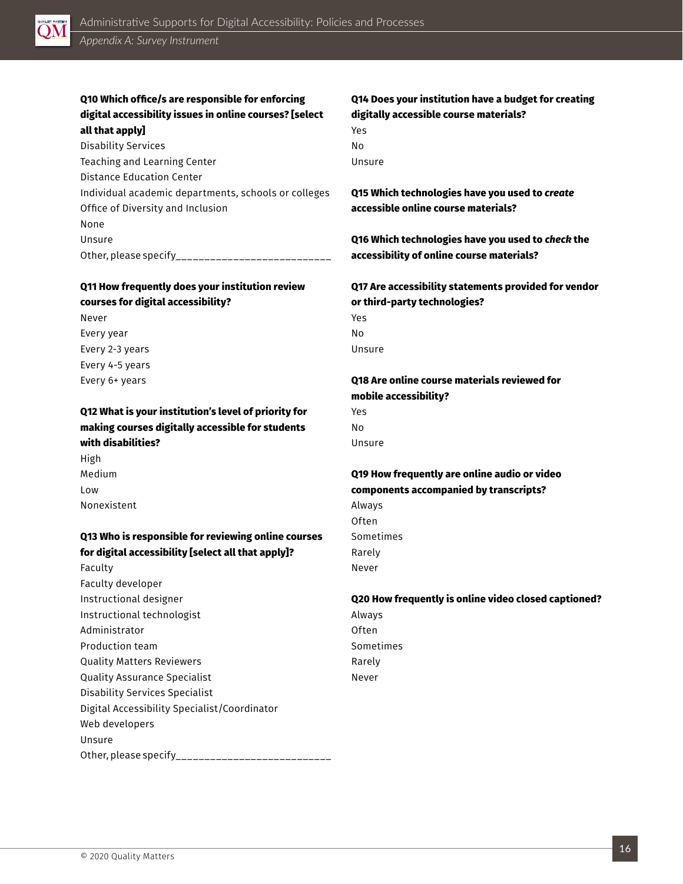

#### **Q10 Which office/s are responsible for enforcing digital accessibility issues in online courses? [select all that apply]**

| Disability Services                                  |
|------------------------------------------------------|
| Teaching and Learning Center                         |
| <b>Distance Education Center</b>                     |
| Individual academic departments, schools or colleges |
| Office of Diversity and Inclusion                    |
| None                                                 |
| Unsure                                               |
| Other, please specify                                |

#### **Q11 How frequently does your institution review courses for digital accessibility?**

Never Every year Every 2-3 years Every 4-5 years Every 6+ years

#### **Q12 What is your institution's level of priority for making courses digitally accessible for students with disabilities?**

High Medium Low Nonexistent

#### **Q13 Who is responsible for reviewing online courses for digital accessibility [select all that apply]?**

Faculty Faculty developer Instructional designer Instructional technologist Administrator Production team Quality Matters Reviewers Quality Assurance Specialist Disability Services Specialist Digital Accessibility Specialist/Coordinator Web developers Unsure Other, please specify\_\_\_\_\_\_\_\_\_\_\_\_\_\_\_\_\_\_\_\_\_\_\_\_\_\_\_

#### **Q14 Does your institution have a budget for creating digitally accessible course materials?**

| Yes    |  |
|--------|--|
| No     |  |
| Unsure |  |

**Q15 Which technologies have you used to** *create* **accessible online course materials?**

**Q16 Which technologies have you used to** *check* **the accessibility of online course materials?**

#### **Q17 Are accessibility statements provided for vendor or third-party technologies?**

Yes No Unsure

#### **Q18 Are online course materials reviewed for mobile accessibility?**

Yes No Unsure

#### **Q19 How frequently are online audio or video components accompanied by transcripts?**

Always Often Sometimes Rarely Never

#### **Q20 How frequently is online video closed captioned?**

Always Often Sometimes Rarely Never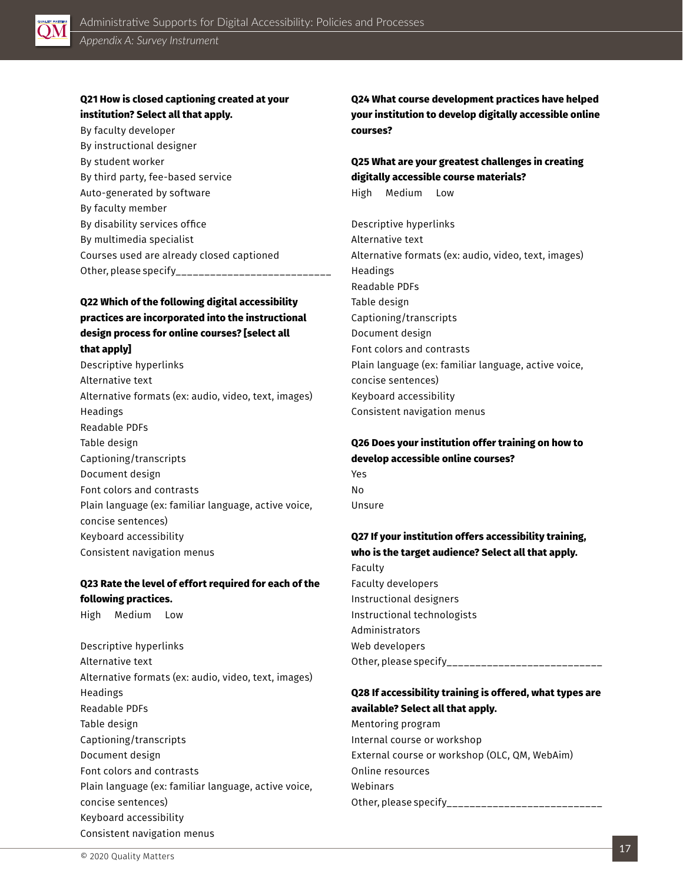

#### **Q21 How is closed captioning created at your institution? Select all that apply.**

By faculty developer By instructional designer By student worker By third party, fee-based service Auto-generated by software By faculty member By disability services office By multimedia specialist Courses used are already closed captioned Other, please specify\_\_\_\_\_\_\_\_\_\_\_\_\_\_\_\_

#### **Q22 Which of the following digital accessibility practices are incorporated into the instructional design process for online courses? [select all that apply]**

Descriptive hyperlinks Alternative text Alternative formats (ex: audio, video, text, images) Headings Readable PDFs Table design Captioning/transcripts Document design Font colors and contrasts Plain language (ex: familiar language, active voice, concise sentences) Keyboard accessibility Consistent navigation menus

#### **Q23 Rate the level of effort required for each of the following practices.**

High Medium Low

Descriptive hyperlinks Alternative text Alternative formats (ex: audio, video, text, images) Headings Readable PDFs Table design Captioning/transcripts Document design Font colors and contrasts Plain language (ex: familiar language, active voice, concise sentences) Keyboard accessibility Consistent navigation menus

**Q24 What course development practices have helped your institution to develop digitally accessible online courses?** 

#### **Q25 What are your greatest challenges in creating digitally accessible course materials?** High Medium Low

Descriptive hyperlinks Alternative text Alternative formats (ex: audio, video, text, images) Headings Readable PDFs Table design Captioning/transcripts Document design Font colors and contrasts Plain language (ex: familiar language, active voice, concise sentences) Keyboard accessibility Consistent navigation menus

### **Q26 Does your institution offer training on how to develop accessible online courses?**

Yes No Unsure

#### **Q27 If your institution offers accessibility training, who is the target audience? Select all that apply.**

Faculty Faculty developers Instructional designers Instructional technologists Administrators Web developers Other, please specify\_\_\_\_\_\_\_\_\_\_\_\_\_\_\_\_\_\_\_\_\_\_\_\_\_\_\_\_\_

#### **Q28 If accessibility training is offered, what types are available? Select all that apply.**

Mentoring program Internal course or workshop External course or workshop (OLC, QM, WebAim) Online resources Webinars Other, please specify\_\_\_\_\_\_\_\_\_\_\_\_\_\_\_\_\_\_\_\_\_\_\_\_\_\_\_